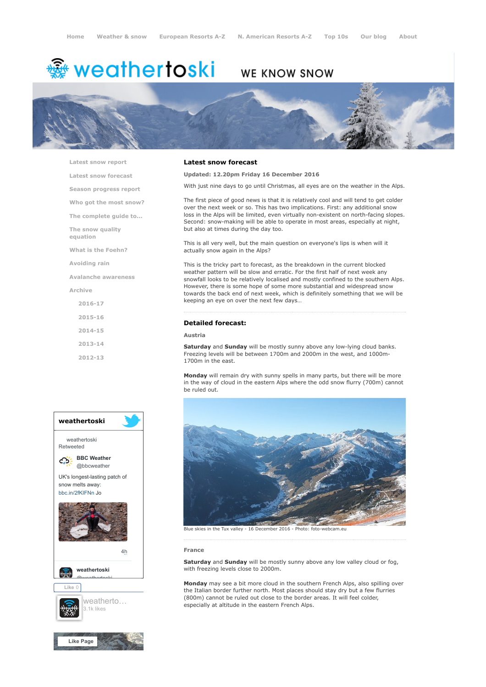# **※ weathertoski**

# WE KNOW SNOW



[Latest snow report](https://www.weathertoski.co.uk/weather-snow/latest-snow-report/) [Latest snow forecast](https://www.weathertoski.co.uk/weather-snow/latest-snow-forecast/) [Season progress report](https://www.weathertoski.co.uk/weather-snow/season-progress-report/) [Who got the most snow?](https://www.weathertoski.co.uk/weather-snow/who-got-the-most-snow/) [The complete guide to...](https://www.weathertoski.co.uk/weather-snow/the-complete-guide-to/) [The snow quality](https://www.weathertoski.co.uk/weather-snow/the-snow-quality-equation/) equation [What is the Foehn?](https://www.weathertoski.co.uk/weather-snow/what-is-the-foehn/) [Avoiding rain](https://www.weathertoski.co.uk/weather-snow/avoiding-rain/) [Avalanche awareness](https://www.weathertoski.co.uk/weather-snow/avalanche-awareness/) [Archive](https://www.weathertoski.co.uk/weather-snow/archive/) [2016-17](https://www.weathertoski.co.uk/weather-snow/archive/2016-17/) [2015-16](https://www.weathertoski.co.uk/weather-snow/archive/2015-16/) [2014-15](https://www.weathertoski.co.uk/weather-snow/archive/2014-15/) [2013-14](https://www.weathertoski.co.uk/weather-snow/archive/2013-14/) [2012-13](https://www.weathertoski.co.uk/weather-snow/archive/2012-13/)



#### Latest snow forecast

Updated: 12.20pm Friday 16 December 2016

With just nine days to go until Christmas, all eyes are on the weather in the Alps.

The first piece of good news is that it is relatively cool and will tend to get colder over the next week or so. This has two implications. First: any additional snow loss in the Alps will be limited, even virtually non-existent on north-facing slopes. Second: snow-making will be able to operate in most areas, especially at night, but also at times during the day too.

This is all very well, but the main question on everyone's lips is when will it actually snow again in the Alps?

This is the tricky part to forecast, as the breakdown in the current blocked weather pattern will be slow and erratic. For the first half of next week any snowfall looks to be relatively localised and mostly confined to the southern Alps. However, there is some hope of some more substantial and widespread snow towards the back end of next week, which is definitely something that we will be keeping an eye on over the next few days…

## Detailed forecast:

# Austria

Saturday and Sunday will be mostly sunny above any low-lying cloud banks. Freezing levels will be between 1700m and 2000m in the west, and 1000m-1700m in the east.

Monday will remain dry with sunny spells in many parts, but there will be more in the way of cloud in the eastern Alps where the odd snow flurry (700m) cannot be ruled out.



#### France

Saturday and Sunday will be mostly sunny above any low valley cloud or fog, with freezing levels close to 2000m.

Monday may see a bit more cloud in the southern French Alps, also spilling over the Italian border further north. Most places should stay dry but a few flurries (800m) cannot be ruled out close to the border areas. It will feel colder, especially at altitude in the eastern French Alps.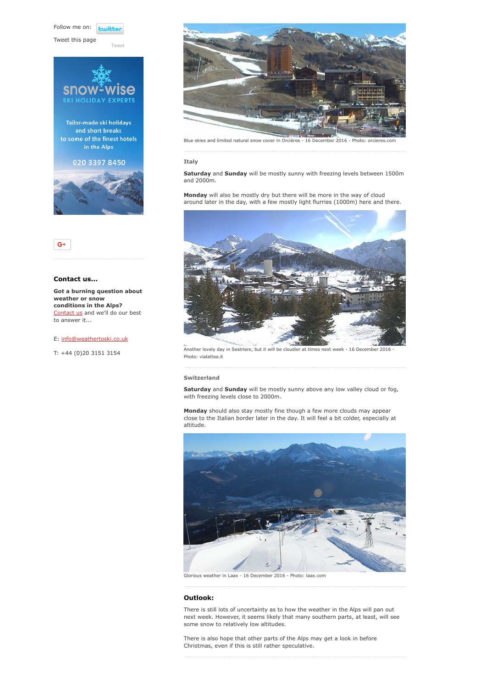Follow me on: **Lwitt** 

Tweet this page



[Tweet](https://twitter.com/intent/tweet?original_referer=https%3A%2F%2Fwww.weathertoski.co.uk%2Fweather-snow%2Farchive%2Fsnow-forecast-16-12-2016%2F&ref_src=twsrc%5Etfw&text=Weather%20to%20ski%20-%20Snow%20forecast%20-%2016%20December%202016&tw_p=tweetbutton&url=https%3A%2F%2Fwww.weathertoski.co.uk%2Fweather-snow%2Farchive%2Fsnow-forecast-16-12-2016%2F)





### Contact us...

Got a burning question about weather or snow conditions in the Alps? [Contact us](https://www.weathertoski.co.uk/about-1/contact-us/) and we'll do our best to answer it...

#### E: [info@weathertoski.co.uk](mailto:fraser@weathertoski.co.uk)

T: +44 (0)20 3151 3154



Blue skies and limited natural snow cover in Orcières - 16 December 2016 - Photo: orcieres

#### Italy

Saturday and Sunday will be mostly sunny with freezing levels between 1500m and 2000m.

Monday will also be mostly dry but there will be more in the way of cloud around later in the day, with a few mostly light flurries (1000m) here and there.



Another lovely day in Sestriere, but it will be cloudier at times next week - 16 December 2016 Photo: vialattea.it

### Switzerland

Saturday and Sunday will be mostly sunny above any low valley cloud or fog, with freezing levels close to 2000m.

Monday should also stay mostly fine though a few more clouds may appear close to the Italian border later in the day. It will feel a bit colder, especially at altitude.



Glorious weather in Laax - 16 December 2016 - Photo: laax.com

#### Outlook:

There is still lots of uncertainty as to how the weather in the Alps will pan out next week. However, it seems likely that many southern parts, at least, will see some snow to relatively low altitudes.

There is also hope that other parts of the Alps may get a look in before Christmas, even if this is still rather speculative.